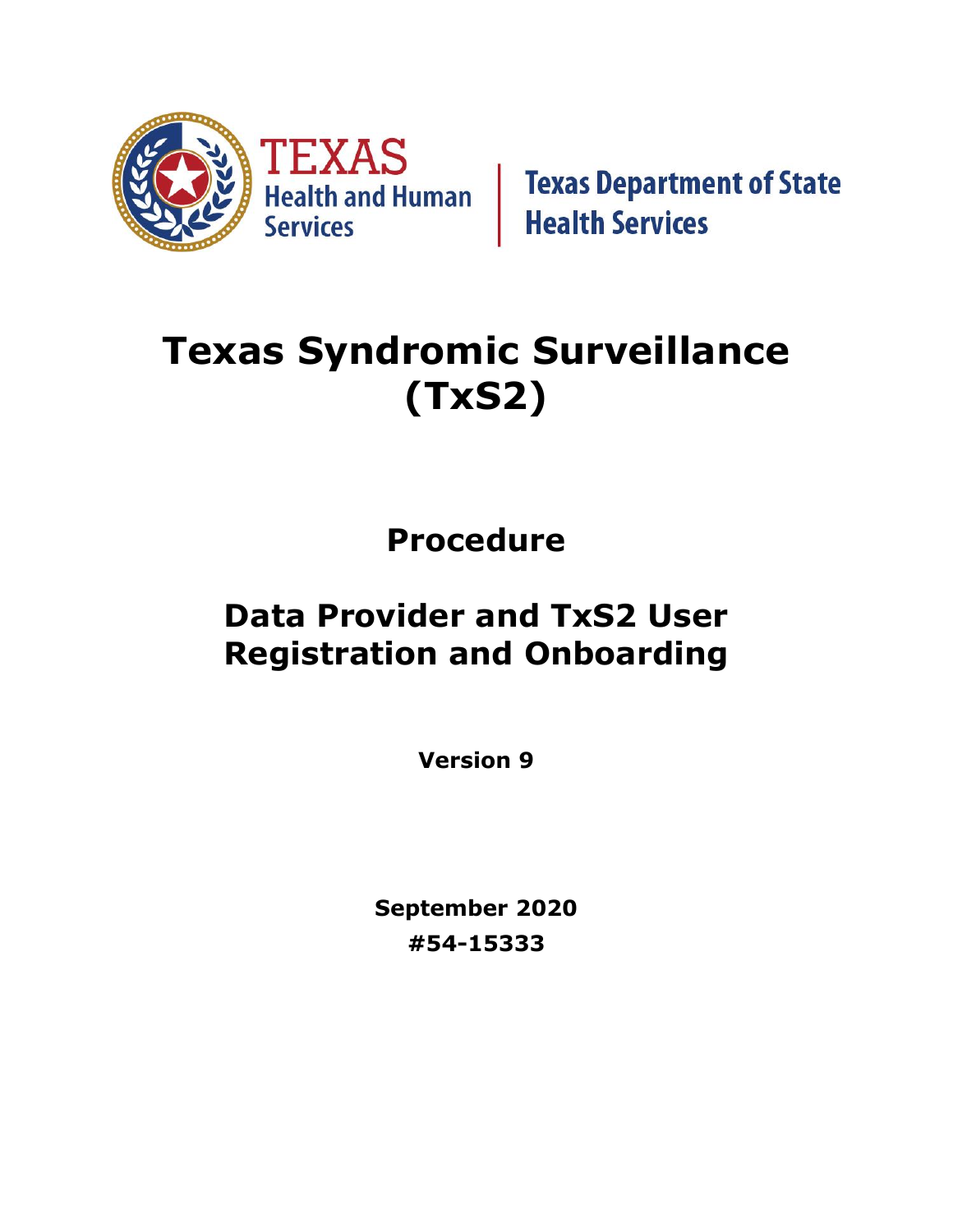

**Texas Department of State<br>Health Services** 

# **Texas Syndromic Surveillance (TxS2)**

**Procedure**

## **Data Provider and TxS2 User Registration and Onboarding**

**Version 9**

**September 2020 #54-15333**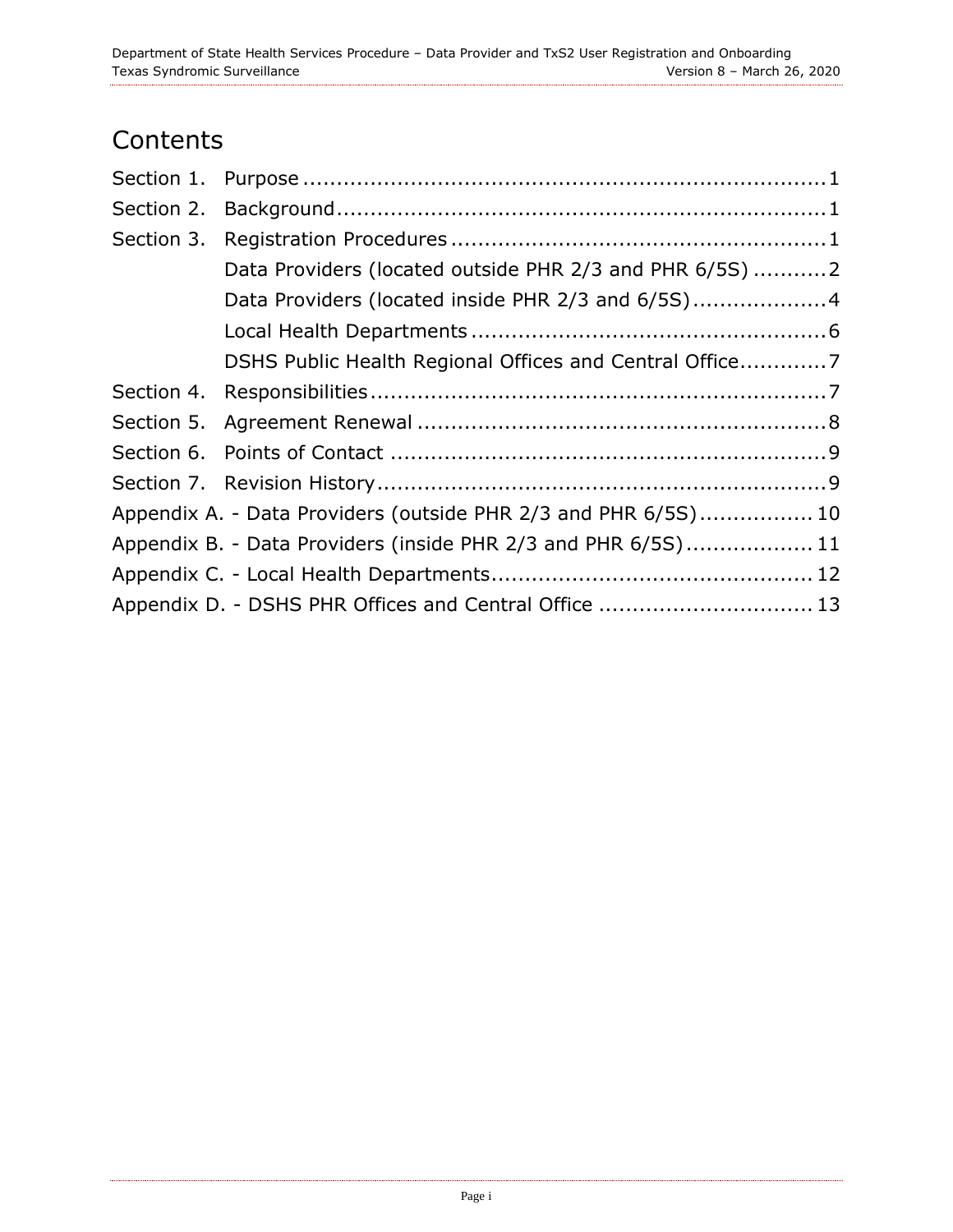## **Contents**

| Section 2. |                                                                |  |
|------------|----------------------------------------------------------------|--|
| Section 3. |                                                                |  |
|            | Data Providers (located outside PHR 2/3 and PHR 6/5S) 2        |  |
|            |                                                                |  |
|            |                                                                |  |
|            |                                                                |  |
| Section 4. |                                                                |  |
|            |                                                                |  |
|            |                                                                |  |
|            |                                                                |  |
|            | Appendix A. - Data Providers (outside PHR 2/3 and PHR 6/5S) 10 |  |
|            | Appendix B. - Data Providers (inside PHR 2/3 and PHR 6/5S) 11  |  |
|            |                                                                |  |
|            | Appendix D. - DSHS PHR Offices and Central Office  13          |  |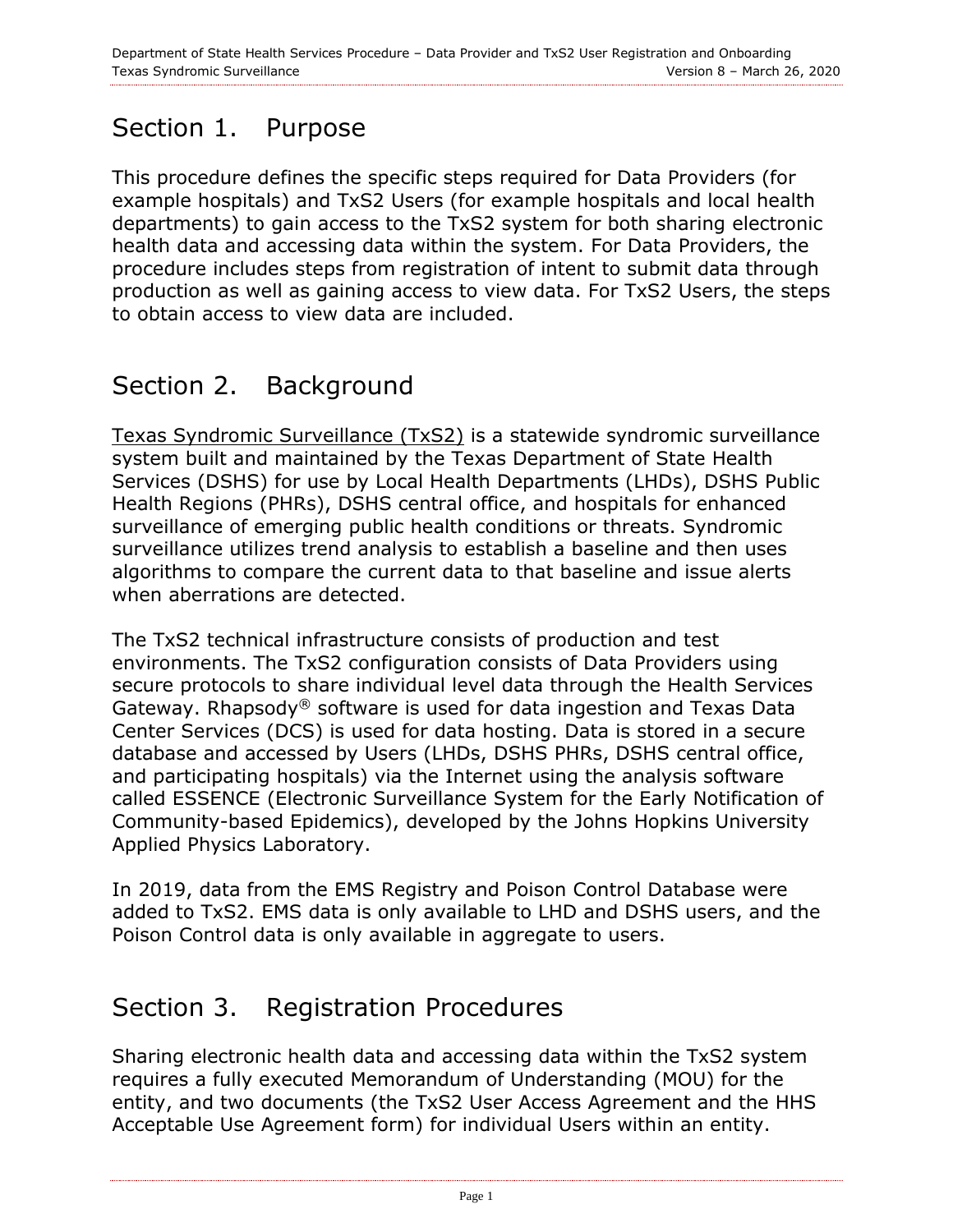## <span id="page-2-0"></span>Section 1. Purpose

This procedure defines the specific steps required for Data Providers (for example hospitals) and TxS2 Users (for example hospitals and local health departments) to gain access to the TxS2 system for both sharing electronic health data and accessing data within the system. For Data Providers, the procedure includes steps from registration of intent to submit data through production as well as gaining access to view data. For TxS2 Users, the steps to obtain access to view data are included.

## <span id="page-2-1"></span>Section 2. Background

[Texas Syndromic Surveillance \(TxS2\)](http://www.dshs.texas.gov/txs2/) is a statewide syndromic surveillance system built and maintained by the Texas Department of State Health Services (DSHS) for use by Local Health Departments (LHDs), DSHS Public Health Regions (PHRs), DSHS central office, and hospitals for enhanced surveillance of emerging public health conditions or threats. Syndromic surveillance utilizes trend analysis to establish a baseline and then uses algorithms to compare the current data to that baseline and issue alerts when aberrations are detected.

The TxS2 technical infrastructure consists of production and test environments. The TxS2 configuration consists of Data Providers using secure protocols to share individual level data through the Health Services Gateway. Rhapsody® software is used for data ingestion and Texas Data Center Services (DCS) is used for data hosting. Data is stored in a secure database and accessed by Users (LHDs, DSHS PHRs, DSHS central office, and participating hospitals) via the Internet using the analysis software called ESSENCE (Electronic Surveillance System for the Early Notification of Community-based Epidemics), developed by the Johns Hopkins University Applied Physics Laboratory.

In 2019, data from the EMS Registry and Poison Control Database were added to TxS2. EMS data is only available to LHD and DSHS users, and the Poison Control data is only available in aggregate to users.

## <span id="page-2-2"></span>Section 3. Registration Procedures

Sharing electronic health data and accessing data within the TxS2 system requires a fully executed Memorandum of Understanding (MOU) for the entity, and two documents (the TxS2 User Access Agreement and the HHS Acceptable Use Agreement form) for individual Users within an entity.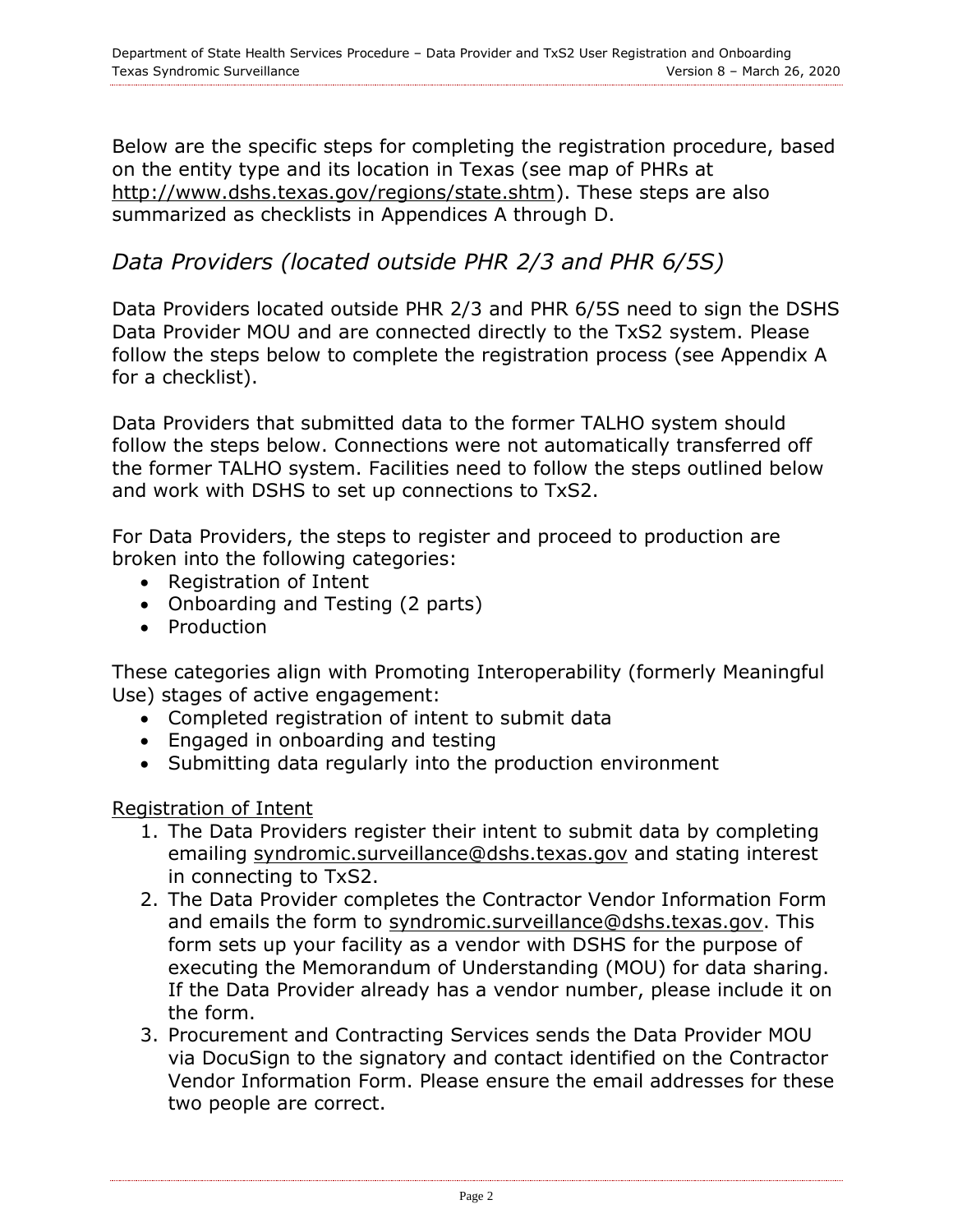Below are the specific steps for completing the registration procedure, based on the entity type and its location in Texas (see map of PHRs at [http://www.dshs.texas.gov/regions/state.shtm\)](http://www.dshs.texas.gov/regions/state.shtm). These steps are also summarized as checklists in Appendices A through D.

#### <span id="page-3-0"></span>*Data Providers (located outside PHR 2/3 and PHR 6/5S)*

Data Providers located outside PHR 2/3 and PHR 6/5S need to sign the DSHS Data Provider MOU and are connected directly to the TxS2 system. Please follow the steps below to complete the registration process (see Appendix A for a checklist).

Data Providers that submitted data to the former TALHO system should follow the steps below. Connections were not automatically transferred off the former TALHO system. Facilities need to follow the steps outlined below and work with DSHS to set up connections to TxS2.

For Data Providers, the steps to register and proceed to production are broken into the following categories:

- Registration of Intent
- Onboarding and Testing (2 parts)
- Production

These categories align with Promoting Interoperability (formerly Meaningful Use) stages of active engagement:

- Completed registration of intent to submit data
- Engaged in onboarding and testing
- Submitting data regularly into the production environment

#### Registration of Intent

- 1. The Data Providers register their intent to submit data by completing emailing [syndromic.surveillance@dshs.texas.gov](mailto:syndromic.surveillance@dshs.texas.gov) and stating interest in connecting to TxS2.
- 2. The Data Provider completes the Contractor Vendor Information Form and emails the form to [syndromic.surveillance@dshs.texas.gov.](mailto:syndromic.surveillance@dshs.texas.gov) This form sets up your facility as a vendor with DSHS for the purpose of executing the Memorandum of Understanding (MOU) for data sharing. If the Data Provider already has a vendor number, please include it on the form.
- 3. Procurement and Contracting Services sends the Data Provider MOU via DocuSign to the signatory and contact identified on the Contractor Vendor Information Form. Please ensure the email addresses for these two people are correct.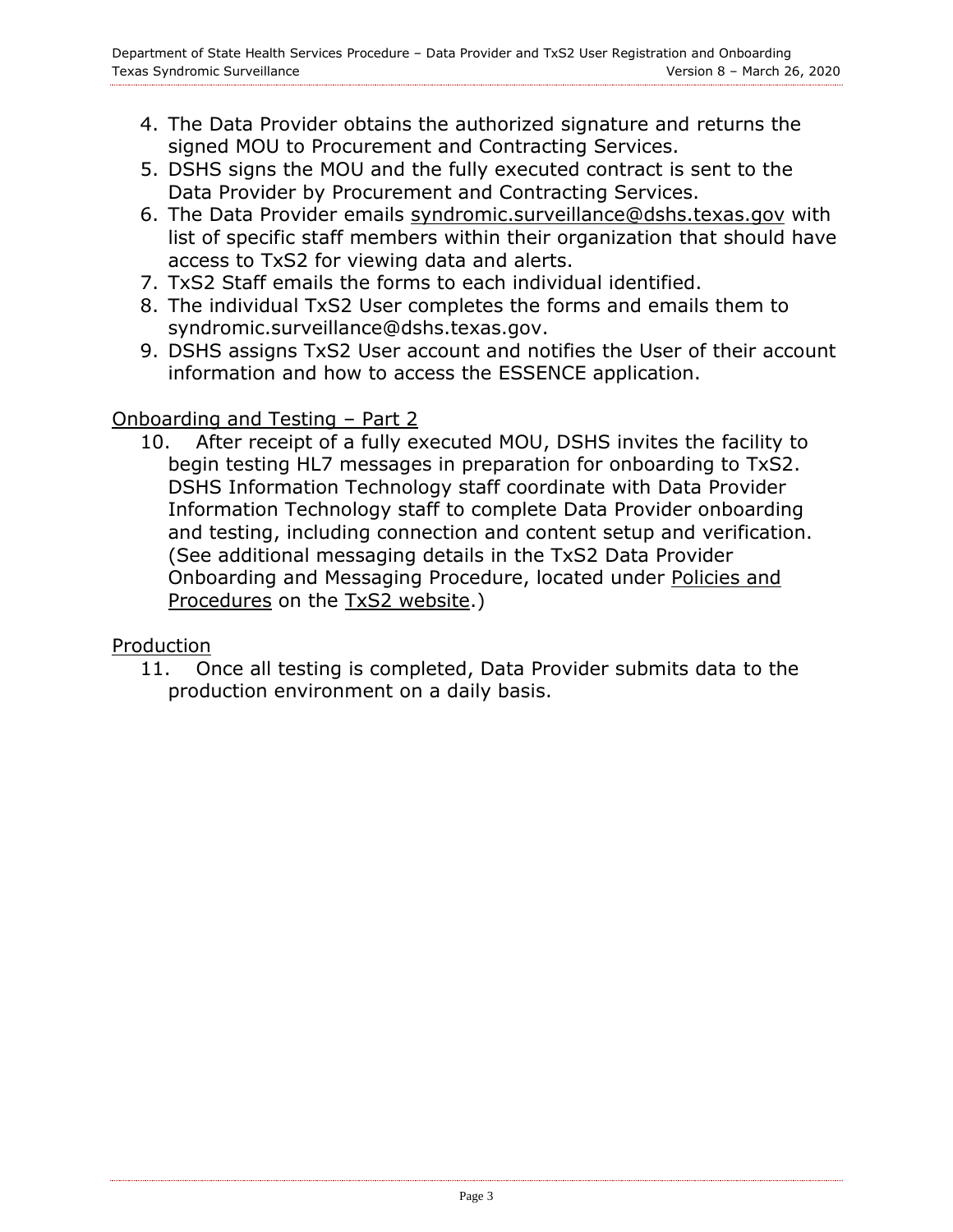- 4. The Data Provider obtains the authorized signature and returns the signed MOU to Procurement and Contracting Services.
- 5. DSHS signs the MOU and the fully executed contract is sent to the Data Provider by Procurement and Contracting Services.
- 6. The Data Provider emails [syndromic.surveillance@dshs.texas.gov](mailto:syndromic.surveillance@dshs.texas.gov) with list of specific staff members within their organization that should have access to TxS2 for viewing data and alerts.
- 7. TxS2 Staff emails the forms to each individual identified.
- 8. The individual TxS2 User completes the forms and emails them to syndromic.surveillance@dshs.texas.gov.
- 9. DSHS assigns TxS2 User account and notifies the User of their account information and how to access the ESSENCE application.

#### Onboarding and Testing – Part 2

10. After receipt of a fully executed MOU, DSHS invites the facility to begin testing HL7 messages in preparation for onboarding to TxS2. DSHS Information Technology staff coordinate with Data Provider Information Technology staff to complete Data Provider onboarding and testing, including connection and content setup and verification. (See additional messaging details in the TxS2 Data Provider Onboarding and Messaging Procedure, located under [Policies and](http://www.dshs.texas.gov/txs2/default.aspx#Policies)  [Procedures](http://www.dshs.texas.gov/txs2/default.aspx#Policies) on the [TxS2 website.](http://www.dshs.texas.gov/txs2/))

#### Production

11. Once all testing is completed, Data Provider submits data to the production environment on a daily basis.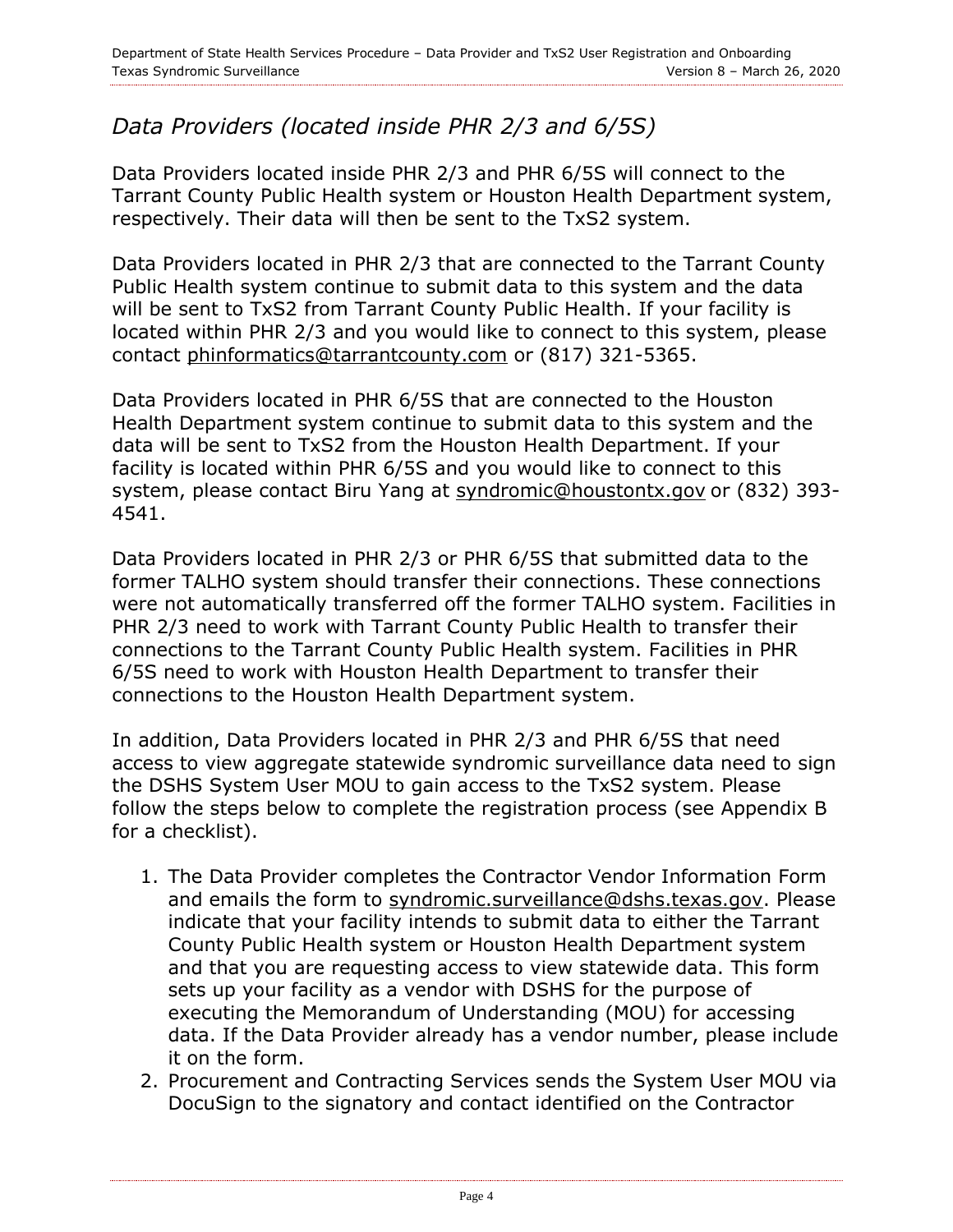#### <span id="page-5-0"></span>*Data Providers (located inside PHR 2/3 and 6/5S)*

Data Providers located inside PHR 2/3 and PHR 6/5S will connect to the Tarrant County Public Health system or Houston Health Department system, respectively. Their data will then be sent to the TxS2 system.

Data Providers located in PHR 2/3 that are connected to the Tarrant County Public Health system continue to submit data to this system and the data will be sent to TxS2 from Tarrant County Public Health. If your facility is located within PHR 2/3 and you would like to connect to this system, please contact [phinformatics@tarrantcounty.com](mailto:phinformatics@tarrantcounty.com) or (817) 321-5365.

Data Providers located in PHR 6/5S that are connected to the Houston Health Department system continue to submit data to this system and the data will be sent to TxS2 from the Houston Health Department. If your facility is located within PHR 6/5S and you would like to connect to this system, please contact Biru Yang at [syndromic@houstontx.gov](mailto:syndromic@houstontx.gov) or (832) 393- 4541.

Data Providers located in PHR 2/3 or PHR 6/5S that submitted data to the former TALHO system should transfer their connections. These connections were not automatically transferred off the former TALHO system. Facilities in PHR 2/3 need to work with Tarrant County Public Health to transfer their connections to the Tarrant County Public Health system. Facilities in PHR 6/5S need to work with Houston Health Department to transfer their connections to the Houston Health Department system.

In addition, Data Providers located in PHR 2/3 and PHR 6/5S that need access to view aggregate statewide syndromic surveillance data need to sign the DSHS System User MOU to gain access to the TxS2 system. Please follow the steps below to complete the registration process (see Appendix B for a checklist).

- 1. The Data Provider completes the Contractor Vendor Information Form and emails the form to [syndromic.surveillance@dshs.texas.gov.](mailto:syndromic.surveillance@dshs.texas.gov) Please indicate that your facility intends to submit data to either the Tarrant County Public Health system or Houston Health Department system and that you are requesting access to view statewide data. This form sets up your facility as a vendor with DSHS for the purpose of executing the Memorandum of Understanding (MOU) for accessing data. If the Data Provider already has a vendor number, please include it on the form.
- 2. Procurement and Contracting Services sends the System User MOU via DocuSign to the signatory and contact identified on the Contractor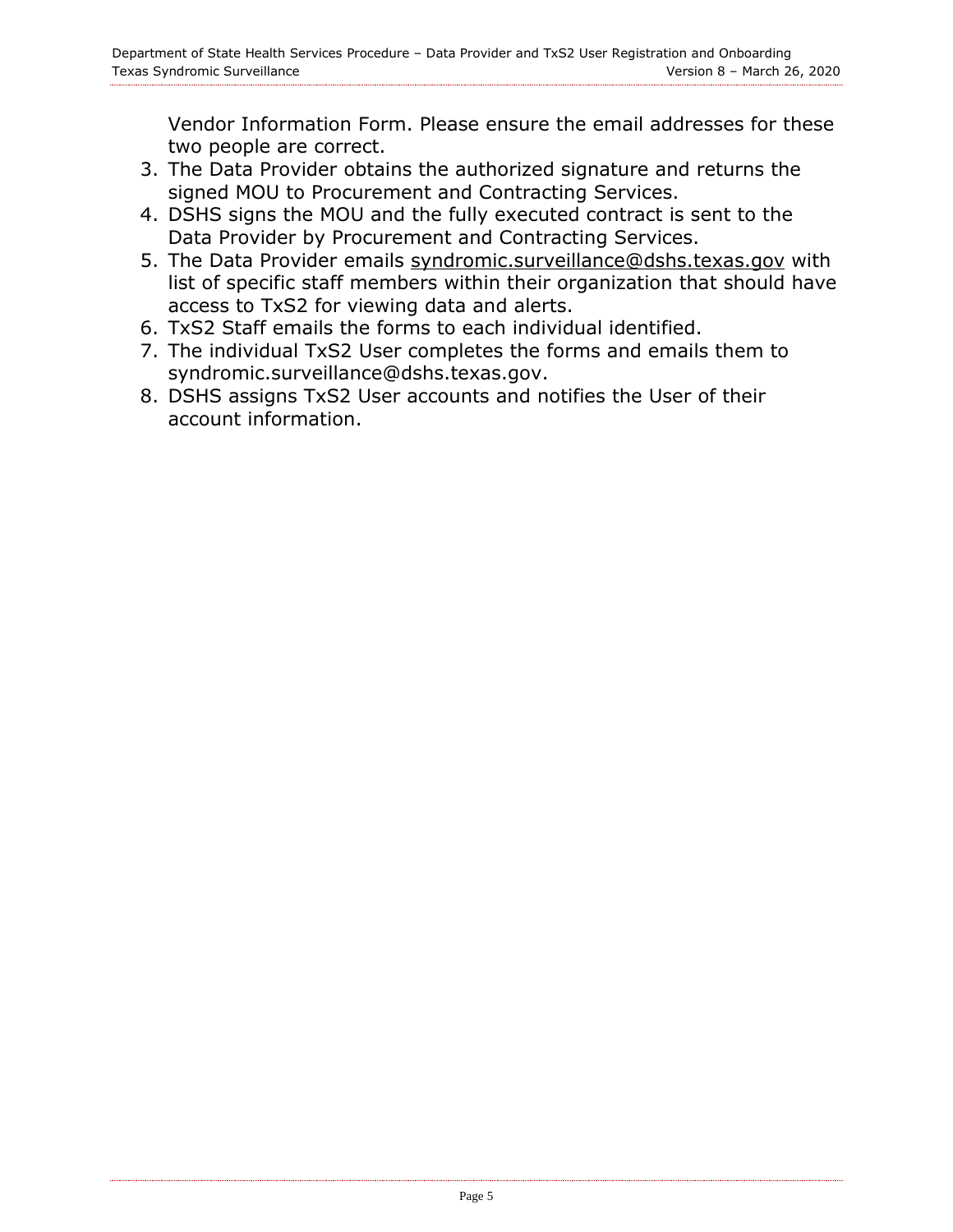Vendor Information Form. Please ensure the email addresses for these two people are correct.

- 3. The Data Provider obtains the authorized signature and returns the signed MOU to Procurement and Contracting Services.
- 4. DSHS signs the MOU and the fully executed contract is sent to the Data Provider by Procurement and Contracting Services.
- 5. The Data Provider emails [syndromic.surveillance@dshs.texas.gov](mailto:syndromic.surveillance@dshs.texas.gov) with list of specific staff members within their organization that should have access to TxS2 for viewing data and alerts.
- 6. TxS2 Staff emails the forms to each individual identified.
- 7. The individual TxS2 User completes the forms and emails them to syndromic.surveillance@dshs.texas.gov.
- 8. DSHS assigns TxS2 User accounts and notifies the User of their account information.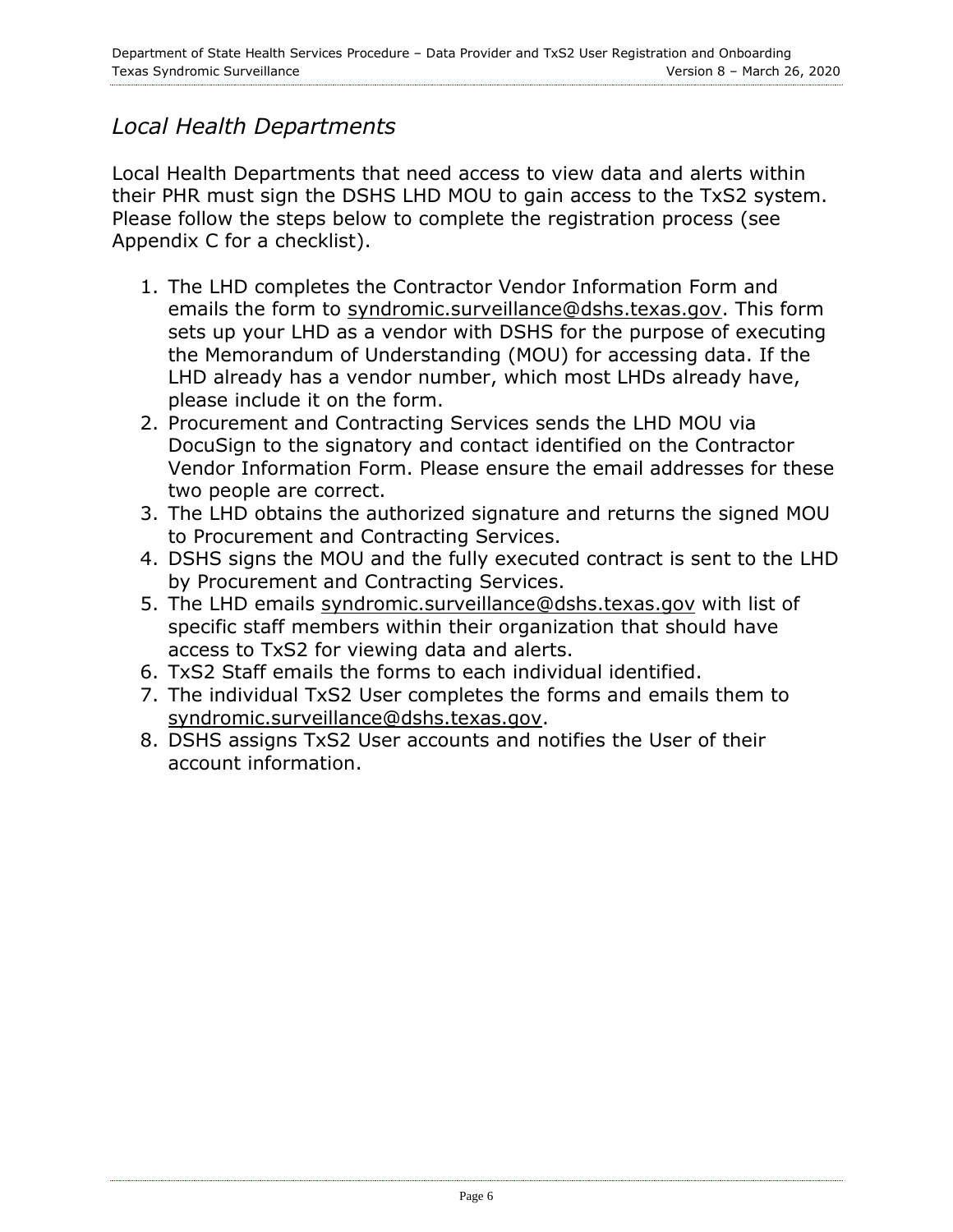#### <span id="page-7-0"></span>*Local Health Departments*

Local Health Departments that need access to view data and alerts within their PHR must sign the DSHS LHD MOU to gain access to the TxS2 system. Please follow the steps below to complete the registration process (see Appendix C for a checklist).

- 1. The LHD completes the Contractor Vendor Information Form and emails the form to [syndromic.surveillance@dshs.texas.gov.](mailto:syndromic.surveillance@dshs.texas.gov) This form sets up your LHD as a vendor with DSHS for the purpose of executing the Memorandum of Understanding (MOU) for accessing data. If the LHD already has a vendor number, which most LHDs already have, please include it on the form.
- 2. Procurement and Contracting Services sends the LHD MOU via DocuSign to the signatory and contact identified on the Contractor Vendor Information Form. Please ensure the email addresses for these two people are correct.
- 3. The LHD obtains the authorized signature and returns the signed MOU to Procurement and Contracting Services.
- 4. DSHS signs the MOU and the fully executed contract is sent to the LHD by Procurement and Contracting Services.
- 5. The LHD emails [syndromic.surveillance@dshs.texas.gov](mailto:syndromic.surveillance@dshs.texas.gov) with list of specific staff members within their organization that should have access to TxS2 for viewing data and alerts.
- 6. TxS2 Staff emails the forms to each individual identified.
- 7. The individual TxS2 User completes the forms and emails them to [syndromic.surveillance@dshs.texas.gov.](mailto:syndromic.surveillance@dshs.texas.gov)
- 8. DSHS assigns TxS2 User accounts and notifies the User of their account information.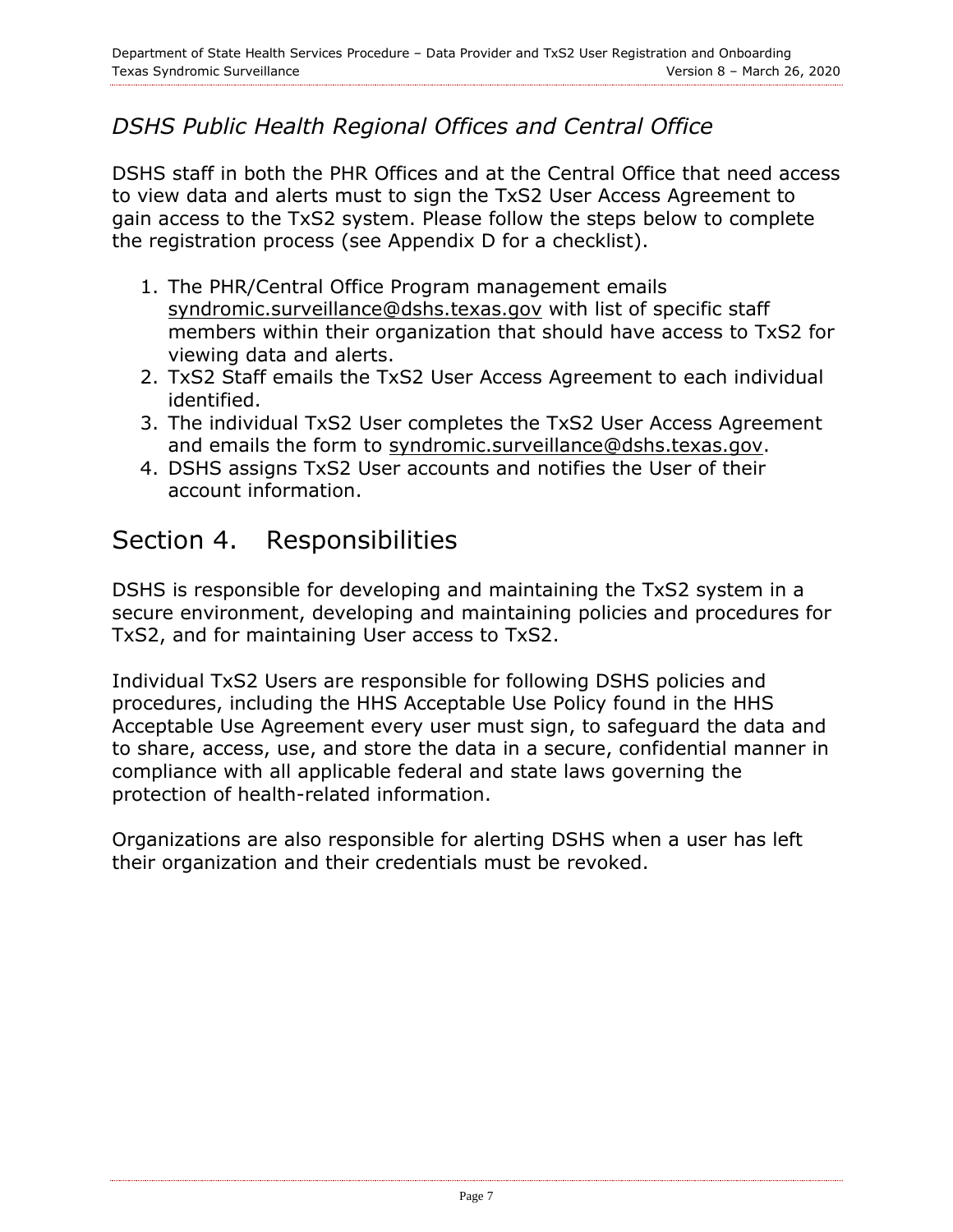#### <span id="page-8-0"></span>*DSHS Public Health Regional Offices and Central Office*

DSHS staff in both the PHR Offices and at the Central Office that need access to view data and alerts must to sign the TxS2 User Access Agreement to gain access to the TxS2 system. Please follow the steps below to complete the registration process (see Appendix D for a checklist).

- 1. The PHR/Central Office Program management emails [syndromic.surveillance@dshs.texas.gov](mailto:syndromic.surveillance@dshs.texas.gov) with list of specific staff members within their organization that should have access to TxS2 for viewing data and alerts.
- 2. TxS2 Staff emails the TxS2 User Access Agreement to each individual identified.
- 3. The individual TxS2 User completes the TxS2 User Access Agreement and emails the form to [syndromic.surveillance@dshs.texas.gov.](mailto:syndromic.surveillance@dshs.texas.gov)
- 4. DSHS assigns TxS2 User accounts and notifies the User of their account information.

### <span id="page-8-1"></span>Section 4. Responsibilities

DSHS is responsible for developing and maintaining the TxS2 system in a secure environment, developing and maintaining policies and procedures for TxS2, and for maintaining User access to TxS2.

Individual TxS2 Users are responsible for following DSHS policies and procedures, including the HHS Acceptable Use Policy found in the HHS Acceptable Use Agreement every user must sign, to safeguard the data and to share, access, use, and store the data in a secure, confidential manner in compliance with all applicable federal and state laws governing the protection of health-related information.

Organizations are also responsible for alerting DSHS when a user has left their organization and their credentials must be revoked.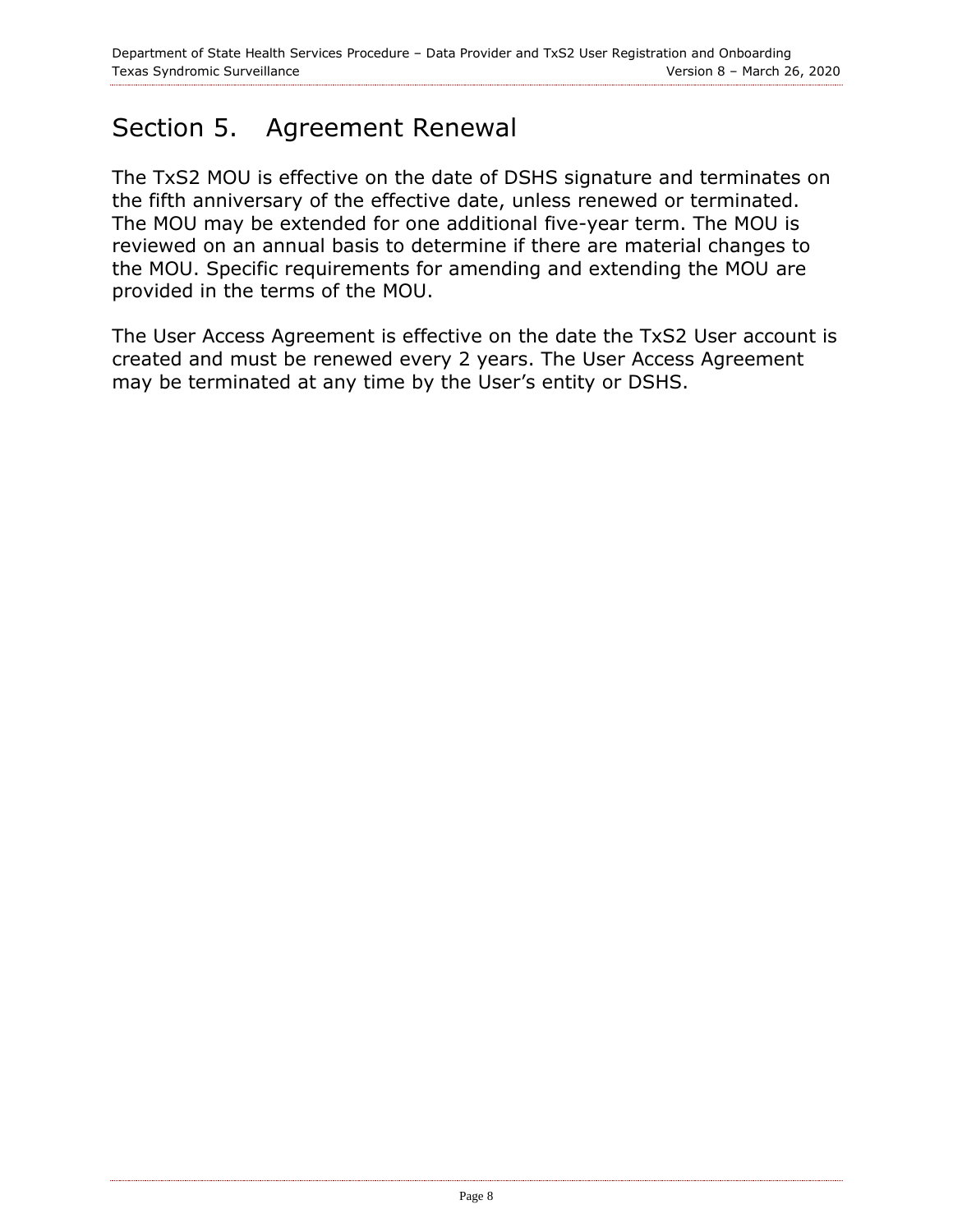## <span id="page-9-0"></span>Section 5. Agreement Renewal

The TxS2 MOU is effective on the date of DSHS signature and terminates on the fifth anniversary of the effective date, unless renewed or terminated. The MOU may be extended for one additional five-year term. The MOU is reviewed on an annual basis to determine if there are material changes to the MOU. Specific requirements for amending and extending the MOU are provided in the terms of the MOU.

The User Access Agreement is effective on the date the TxS2 User account is created and must be renewed every 2 years. The User Access Agreement may be terminated at any time by the User's entity or DSHS.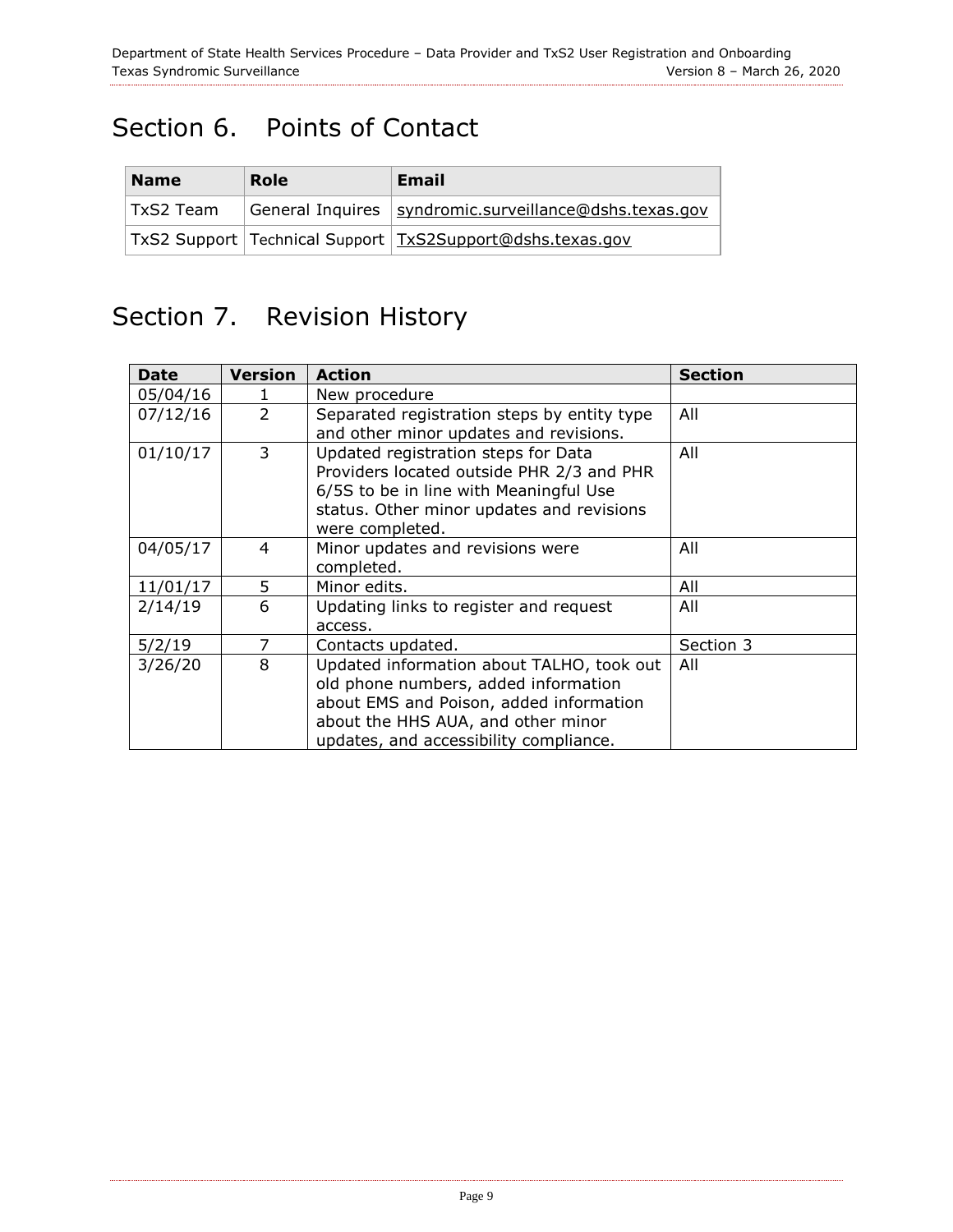## <span id="page-10-0"></span>Section 6. Points of Contact

| <b>Name</b> | Role | Email                                                       |
|-------------|------|-------------------------------------------------------------|
| TxS2 Team   |      | General Inquires   syndromic.surveillance@dshs.texas.gov    |
|             |      | TxS2 Support Technical Support   TxS2Support@dshs.texas.gov |

## <span id="page-10-1"></span>Section 7. Revision History

| <b>Date</b> | Version        | <b>Action</b>                                                                                                                                                                                                | <b>Section</b> |
|-------------|----------------|--------------------------------------------------------------------------------------------------------------------------------------------------------------------------------------------------------------|----------------|
| 05/04/16    |                | New procedure                                                                                                                                                                                                |                |
| 07/12/16    | $\overline{2}$ | Separated registration steps by entity type<br>and other minor updates and revisions.                                                                                                                        | All            |
| 01/10/17    | 3              | Updated registration steps for Data<br>Providers located outside PHR 2/3 and PHR<br>6/5S to be in line with Meaningful Use<br>status. Other minor updates and revisions<br>were completed.                   | All            |
| 04/05/17    | 4              | Minor updates and revisions were<br>completed.                                                                                                                                                               | All            |
| 11/01/17    | 5              | Minor edits.                                                                                                                                                                                                 | All            |
| 2/14/19     | 6              | Updating links to register and request<br>access.                                                                                                                                                            | All            |
| 5/2/19      | 7              | Contacts updated.                                                                                                                                                                                            | Section 3      |
| 3/26/20     | 8              | Updated information about TALHO, took out<br>old phone numbers, added information<br>about EMS and Poison, added information<br>about the HHS AUA, and other minor<br>updates, and accessibility compliance. | All            |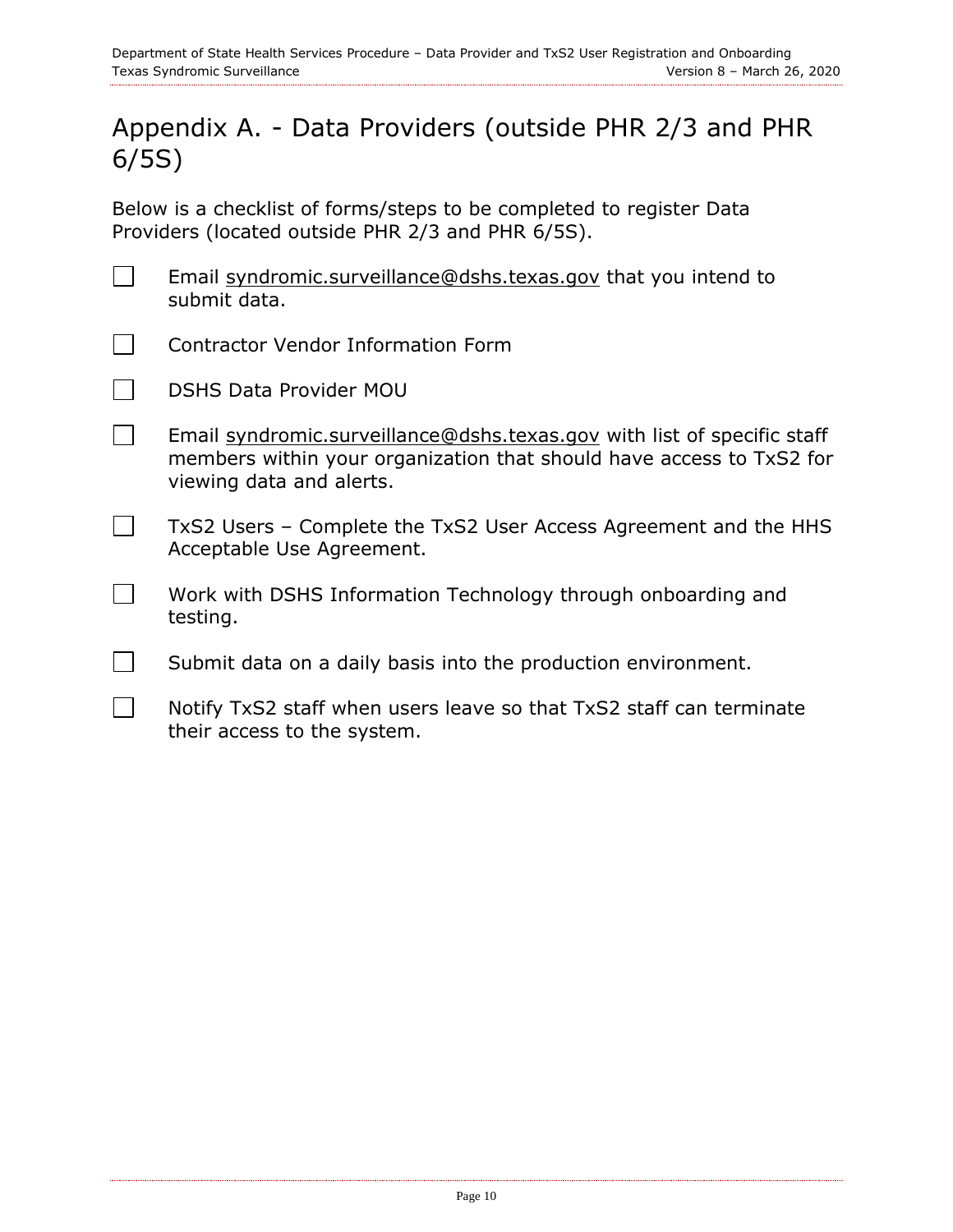## <span id="page-11-0"></span>Appendix A. - Data Providers (outside PHR 2/3 and PHR 6/5S)

Below is a checklist of forms/steps to be completed to register Data Providers (located outside PHR 2/3 and PHR 6/5S).

Email [syndromic.surveillance@dshs.texas.gov](mailto:syndromic.surveillance@dshs.texas.gov) that you intend to submit data.

- Contractor Vendor Information Form
- $\mathcal{L}(\mathcal{A})$ DSHS Data Provider MOU

 $\mathbf{L}$ 

- $\mathcal{L}^{\mathcal{A}}$ Email [syndromic.surveillance@dshs.texas.gov](mailto:syndromic.surveillance@dshs.texas.gov) with list of specific staff members within your organization that should have access to TxS2 for viewing data and alerts.
- $\Box$ TxS2 Users – Complete the TxS2 User Access Agreement and the HHS Acceptable Use Agreement.
- $\mathcal{L}(\mathcal{A})$ Work with DSHS Information Technology through onboarding and testing.
- $\mathbf{I}$ Submit data on a daily basis into the production environment.
- $\Box$ Notify TxS2 staff when users leave so that TxS2 staff can terminate their access to the system.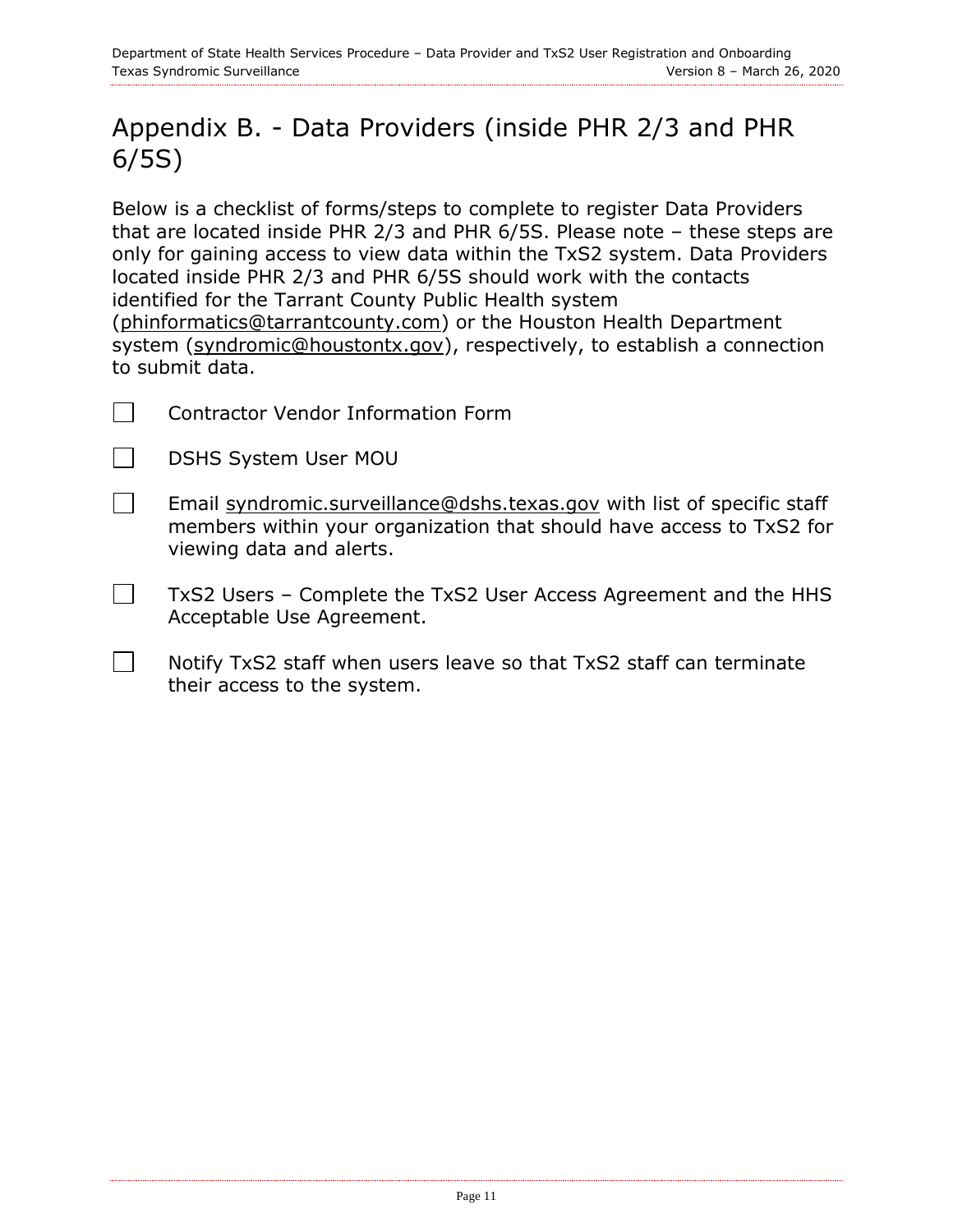## <span id="page-12-0"></span>Appendix B. - Data Providers (inside PHR 2/3 and PHR 6/5S)

Below is a checklist of forms/steps to complete to register Data Providers that are located inside PHR 2/3 and PHR 6/5S. Please note – these steps are only for gaining access to view data within the TxS2 system. Data Providers located inside PHR 2/3 and PHR 6/5S should work with the contacts identified for the Tarrant County Public Health system [\(phinformatics@tarrantcounty.com\)](mailto:phinformatics@tarrantcounty.com) or the Houston Health Department system [\(syndromic@houstontx.gov\)](mailto:syndromic@houstontx.gov), respectively, to establish a connection to submit data.

- 
- Contractor Vendor Information Form
- DSHS System User MOU
- $\Box$ Email [syndromic.surveillance@dshs.texas.gov](mailto:syndromic.surveillance@dshs.texas.gov) with list of specific staff members within your organization that should have access to TxS2 for viewing data and alerts.
- TxS2 Users – Complete the TxS2 User Access Agreement and the HHS Acceptable Use Agreement.
- Notify TxS2 staff when users leave so that TxS2 staff can terminate  $\sim$  1 their access to the system.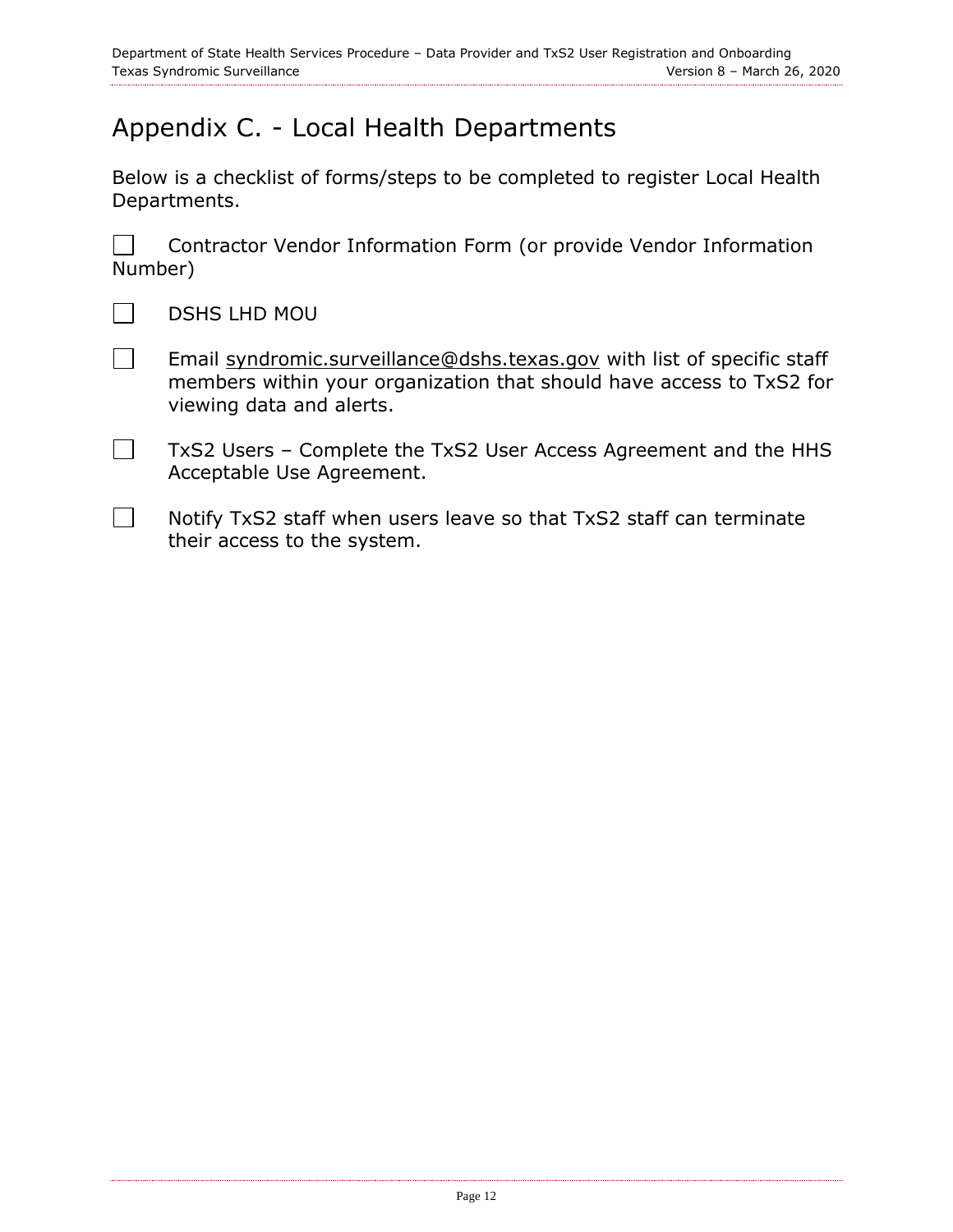## <span id="page-13-0"></span>Appendix C. - Local Health Departments

Below is a checklist of forms/steps to be completed to register Local Health Departments.

 $\mathbb{R}^n$ Contractor Vendor Information Form (or provide Vendor Information Number)

DSHS LHD MOU

- $\Box$ Email [syndromic.surveillance@dshs.texas.gov](mailto:syndromic.surveillance@dshs.texas.gov) with list of specific staff members within your organization that should have access to TxS2 for viewing data and alerts.
- $\mathbf{I}$ TxS2 Users – Complete the TxS2 User Access Agreement and the HHS Acceptable Use Agreement.
- $\Box$ Notify TxS2 staff when users leave so that TxS2 staff can terminate their access to the system.